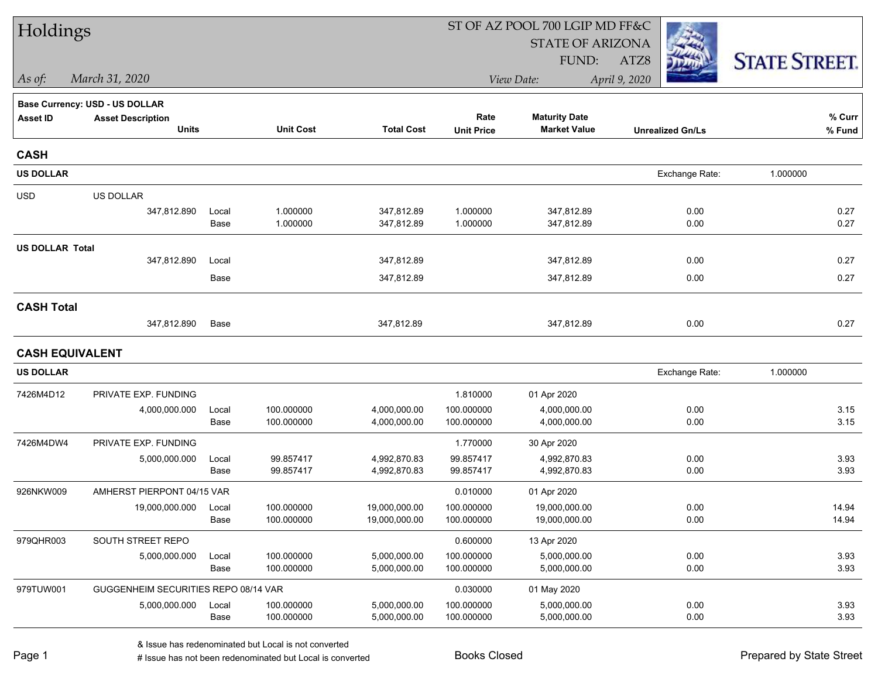| Holdings               |                                      |               |                          |                                |                          | ST OF AZ POOL 700 LGIP MD FF&C |                         |                      |  |  |
|------------------------|--------------------------------------|---------------|--------------------------|--------------------------------|--------------------------|--------------------------------|-------------------------|----------------------|--|--|
|                        |                                      |               |                          |                                |                          | <b>STATE OF ARIZONA</b>        |                         |                      |  |  |
|                        |                                      |               |                          |                                |                          | FUND:                          | ATZ8                    | <b>STATE STREET.</b> |  |  |
| As of:                 | March 31, 2020                       |               |                          |                                |                          | View Date:                     | April 9, 2020           |                      |  |  |
|                        | Base Currency: USD - US DOLLAR       |               |                          |                                |                          |                                |                         |                      |  |  |
| <b>Asset ID</b>        | <b>Asset Description</b>             |               |                          |                                | Rate                     | <b>Maturity Date</b>           |                         | % Curr               |  |  |
|                        | <b>Units</b>                         |               | <b>Unit Cost</b>         | <b>Total Cost</b>              | <b>Unit Price</b>        | <b>Market Value</b>            | <b>Unrealized Gn/Ls</b> | % Fund               |  |  |
| <b>CASH</b>            |                                      |               |                          |                                |                          |                                |                         |                      |  |  |
| <b>US DOLLAR</b>       |                                      |               |                          |                                |                          |                                | Exchange Rate:          | 1.000000             |  |  |
| <b>USD</b>             | US DOLLAR                            |               |                          |                                |                          |                                |                         |                      |  |  |
|                        | 347,812.890                          | Local         | 1.000000                 | 347,812.89                     | 1.000000                 | 347,812.89                     | 0.00                    | 0.27                 |  |  |
|                        |                                      | Base          | 1.000000                 | 347,812.89                     | 1.000000                 | 347,812.89                     | 0.00                    | 0.27                 |  |  |
| <b>US DOLLAR Total</b> |                                      |               |                          |                                |                          |                                |                         |                      |  |  |
|                        | 347,812.890                          | Local         |                          | 347,812.89                     |                          | 347,812.89                     | 0.00                    | 0.27                 |  |  |
|                        |                                      | Base          |                          | 347,812.89                     |                          | 347,812.89                     | 0.00                    | 0.27                 |  |  |
| <b>CASH Total</b>      |                                      |               |                          |                                |                          |                                |                         |                      |  |  |
|                        | 347,812.890                          | Base          |                          | 347,812.89                     |                          | 347,812.89                     | 0.00                    | 0.27                 |  |  |
|                        | <b>CASH EQUIVALENT</b>               |               |                          |                                |                          |                                |                         |                      |  |  |
| <b>US DOLLAR</b>       |                                      |               |                          |                                |                          |                                | Exchange Rate:          | 1.000000             |  |  |
| 7426M4D12              | PRIVATE EXP. FUNDING                 |               |                          |                                | 1.810000                 | 01 Apr 2020                    |                         |                      |  |  |
|                        | 4,000,000.000                        | Local         | 100.000000               | 4,000,000.00                   | 100.000000               | 4,000,000.00                   | 0.00                    | 3.15                 |  |  |
|                        |                                      | Base          | 100.000000               | 4,000,000.00                   | 100.000000               | 4,000,000.00                   | 0.00                    | 3.15                 |  |  |
| 7426M4DW4              | PRIVATE EXP. FUNDING                 |               |                          |                                | 1.770000                 | 30 Apr 2020                    |                         |                      |  |  |
|                        | 5,000,000.000                        | Local         | 99.857417                | 4,992,870.83                   | 99.857417                | 4,992,870.83                   | 0.00                    | 3.93                 |  |  |
|                        |                                      | Base          | 99.857417                | 4,992,870.83                   | 99.857417                | 4,992,870.83                   | 0.00                    | 3.93                 |  |  |
| 926NKW009              | AMHERST PIERPONT 04/15 VAR           |               |                          |                                | 0.010000                 | 01 Apr 2020                    |                         |                      |  |  |
|                        | 19,000,000.000                       | Local<br>Base | 100.000000<br>100.000000 | 19,000,000.00<br>19,000,000.00 | 100.000000<br>100.000000 | 19,000,000.00<br>19,000,000.00 | 0.00<br>0.00            | 14.94<br>14.94       |  |  |
| 979QHR003              | SOUTH STREET REPO                    |               |                          |                                | 0.600000                 | 13 Apr 2020                    |                         |                      |  |  |
|                        | 5,000,000.000                        | Local         | 100.000000               | 5,000,000.00                   | 100.000000               | 5,000,000.00                   | 0.00                    | 3.93                 |  |  |
|                        |                                      | Base          | 100.000000               | 5,000,000.00                   | 100.000000               | 5,000,000.00                   | 0.00                    | 3.93                 |  |  |
| 979TUW001              | GUGGENHEIM SECURITIES REPO 08/14 VAR |               |                          |                                | 0.030000                 | 01 May 2020                    |                         |                      |  |  |
|                        | 5,000,000.000                        | Local         | 100.000000               | 5,000,000.00                   | 100.000000               | 5,000,000.00                   | 0.00                    | 3.93                 |  |  |
|                        |                                      | Base          | 100.000000               | 5,000,000.00                   | 100.000000               | 5,000,000.00                   | 0.00                    | 3.93                 |  |  |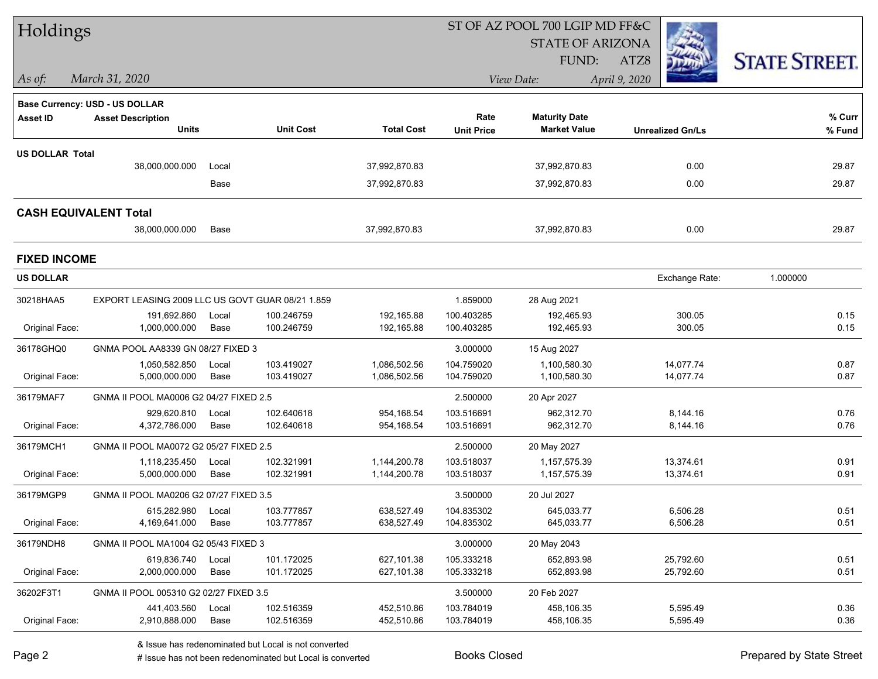| Holdings                     |                                                  |               |                          |                              |                          | ST OF AZ POOL 700 LGIP MD FF&C |                         |                      |
|------------------------------|--------------------------------------------------|---------------|--------------------------|------------------------------|--------------------------|--------------------------------|-------------------------|----------------------|
|                              |                                                  |               |                          |                              |                          | <b>STATE OF ARIZONA</b>        |                         |                      |
|                              |                                                  |               |                          |                              |                          | FUND:                          | ATZ8                    | <b>STATE STREET.</b> |
| $As$ of:                     | March 31, 2020                                   |               |                          |                              |                          | View Date:                     | April 9, 2020           |                      |
|                              | <b>Base Currency: USD - US DOLLAR</b>            |               |                          |                              |                          |                                |                         |                      |
| <b>Asset ID</b>              | <b>Asset Description</b>                         |               |                          |                              | Rate                     | <b>Maturity Date</b>           |                         | % Curr               |
|                              | <b>Units</b>                                     |               | <b>Unit Cost</b>         | <b>Total Cost</b>            | <b>Unit Price</b>        | <b>Market Value</b>            | <b>Unrealized Gn/Ls</b> | % Fund               |
| <b>US DOLLAR Total</b>       |                                                  |               |                          |                              |                          |                                |                         |                      |
|                              | 38,000,000.000                                   | Local         |                          | 37,992,870.83                |                          | 37,992,870.83                  | 0.00                    | 29.87                |
|                              |                                                  | Base          |                          | 37,992,870.83                |                          | 37,992,870.83                  | 0.00                    | 29.87                |
| <b>CASH EQUIVALENT Total</b> |                                                  |               |                          |                              |                          |                                |                         |                      |
|                              | 38,000,000.000                                   | Base          |                          | 37,992,870.83                |                          | 37,992,870.83                  | 0.00                    | 29.87                |
| <b>FIXED INCOME</b>          |                                                  |               |                          |                              |                          |                                |                         |                      |
| <b>US DOLLAR</b>             |                                                  |               |                          |                              |                          |                                | Exchange Rate:          | 1.000000             |
| 30218HAA5                    | EXPORT LEASING 2009 LLC US GOVT GUAR 08/21 1.859 |               |                          |                              | 1.859000                 | 28 Aug 2021                    |                         |                      |
|                              | 191,692.860                                      | Local         | 100.246759               | 192,165.88                   | 100.403285               | 192,465.93                     | 300.05                  | 0.15                 |
| Original Face:               | 1,000,000.000                                    | Base          | 100.246759               | 192,165.88                   | 100.403285               | 192,465.93                     | 300.05                  | 0.15                 |
| 36178GHQ0                    | GNMA POOL AA8339 GN 08/27 FIXED 3                |               |                          |                              | 3.000000                 | 15 Aug 2027                    |                         |                      |
| Original Face:               | 1,050,582.850<br>5,000,000.000                   | Local<br>Base | 103.419027<br>103.419027 | 1,086,502.56<br>1,086,502.56 | 104.759020<br>104.759020 | 1,100,580.30<br>1,100,580.30   | 14,077.74<br>14,077.74  | 0.87<br>0.87         |
|                              |                                                  |               |                          |                              |                          |                                |                         |                      |
| 36179MAF7                    | GNMA II POOL MA0006 G2 04/27 FIXED 2.5           |               |                          |                              | 2.500000                 | 20 Apr 2027                    |                         |                      |
| Original Face:               | 929,620.810<br>4,372,786.000                     | Local<br>Base | 102.640618<br>102.640618 | 954,168.54<br>954,168.54     | 103.516691<br>103.516691 | 962,312.70<br>962,312.70       | 8,144.16<br>8,144.16    | 0.76<br>0.76         |
|                              |                                                  |               |                          |                              |                          |                                |                         |                      |
| 36179MCH1                    | GNMA II POOL MA0072 G2 05/27 FIXED 2.5           |               |                          |                              | 2.500000                 | 20 May 2027                    |                         |                      |
| Original Face:               | 1,118,235.450<br>5,000,000.000                   | Local<br>Base | 102.321991<br>102.321991 | 1,144,200.78<br>1,144,200.78 | 103.518037<br>103.518037 | 1,157,575.39<br>1,157,575.39   | 13,374.61<br>13,374.61  | 0.91<br>0.91         |
| 36179MGP9                    | GNMA II POOL MA0206 G2 07/27 FIXED 3.5           |               |                          |                              | 3.500000                 | 20 Jul 2027                    |                         |                      |
|                              | 615,282.980 Local                                |               | 103.777857               | 638,527.49                   | 104.835302               | 645,033.77                     | 6,506.28                | 0.51                 |
| Original Face:               | 4,169,641.000                                    | Base          | 103.777857               | 638,527.49                   | 104.835302               | 645,033.77                     | 6,506.28                | 0.51                 |
| 36179NDH8                    | GNMA II POOL MA1004 G2 05/43 FIXED 3             |               |                          |                              | 3.000000                 | 20 May 2043                    |                         |                      |
|                              | 619,836.740                                      | Local         | 101.172025               | 627,101.38                   | 105.333218               | 652,893.98                     | 25,792.60               | 0.51                 |
| Original Face:               | 2,000,000.000                                    | Base          | 101.172025               | 627,101.38                   | 105.333218               | 652,893.98                     | 25,792.60               | 0.51                 |
| 36202F3T1                    | GNMA II POOL 005310 G2 02/27 FIXED 3.5           |               |                          |                              | 3.500000                 | 20 Feb 2027                    |                         |                      |
|                              | 441,403.560                                      | Local         | 102.516359               | 452,510.86                   | 103.784019               | 458,106.35                     | 5,595.49                | 0.36                 |
| Original Face:               | 2,910,888.000                                    | Base          | 102.516359               | 452,510.86                   | 103.784019               | 458,106.35                     | 5,595.49                | 0.36                 |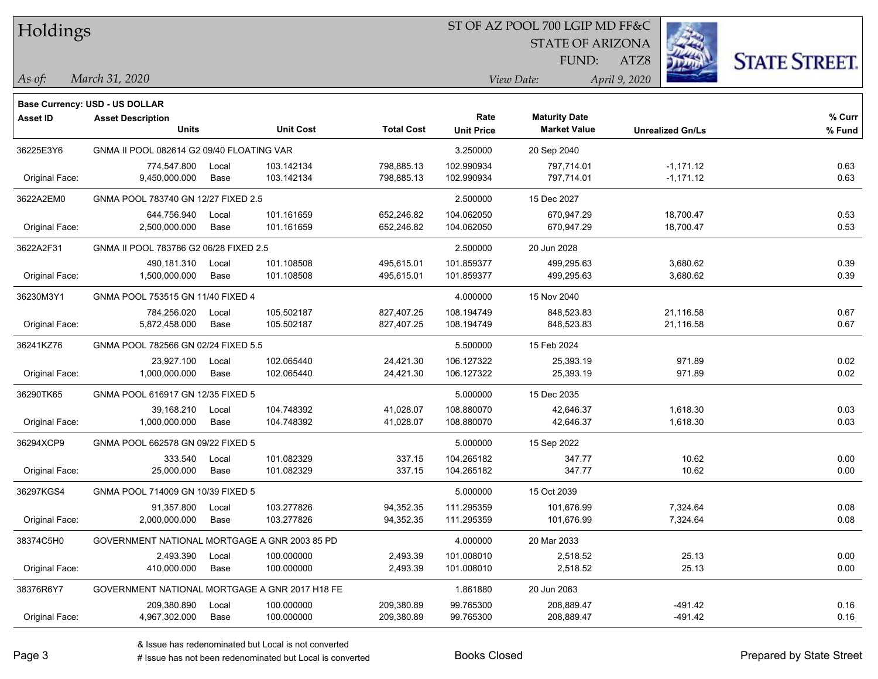### ST OF AZ POOL 700 LGIP MD FF&C

STATE OF ARIZONA

FUND:



*March 31, 2020 As of: View Date: April 9, 2020*

ATZ8

| <b>Base Currency: USD - US DOLLAR</b> |  |
|---------------------------------------|--|
|                                       |  |
|                                       |  |

| <b>Asset ID</b> | <b>Asset Description</b><br><b>Units</b>       |       | <b>Unit Cost</b> | <b>Total Cost</b> | Rate<br><b>Unit Price</b> | <b>Maturity Date</b><br><b>Market Value</b> | <b>Unrealized Gn/Ls</b> | % Curr<br>% Fund |
|-----------------|------------------------------------------------|-------|------------------|-------------------|---------------------------|---------------------------------------------|-------------------------|------------------|
|                 |                                                |       |                  |                   |                           |                                             |                         |                  |
| 36225E3Y6       | GNMA II POOL 082614 G2 09/40 FLOATING VAR      |       |                  |                   | 3.250000                  | 20 Sep 2040                                 |                         |                  |
|                 | 774,547.800                                    | Local | 103.142134       | 798,885.13        | 102.990934                | 797,714.01                                  | $-1,171.12$             | 0.63             |
| Original Face:  | 9,450,000.000                                  | Base  | 103.142134       | 798,885.13        | 102.990934                | 797,714.01                                  | $-1,171.12$             | 0.63             |
| 3622A2EM0       | GNMA POOL 783740 GN 12/27 FIXED 2.5            |       |                  |                   | 2.500000                  | 15 Dec 2027                                 |                         |                  |
|                 | 644,756.940                                    | Local | 101.161659       | 652,246.82        | 104.062050                | 670,947.29                                  | 18,700.47               | 0.53             |
| Original Face:  | 2,500,000.000                                  | Base  | 101.161659       | 652,246.82        | 104.062050                | 670,947.29                                  | 18,700.47               | 0.53             |
| 3622A2F31       | GNMA II POOL 783786 G2 06/28 FIXED 2.5         |       |                  |                   | 2.500000                  | 20 Jun 2028                                 |                         |                  |
|                 | 490,181.310                                    | Local | 101.108508       | 495,615.01        | 101.859377                | 499,295.63                                  | 3,680.62                | 0.39             |
| Original Face:  | 1,500,000.000                                  | Base  | 101.108508       | 495,615.01        | 101.859377                | 499,295.63                                  | 3,680.62                | 0.39             |
| 36230M3Y1       | GNMA POOL 753515 GN 11/40 FIXED 4              |       |                  |                   | 4.000000                  | 15 Nov 2040                                 |                         |                  |
|                 | 784,256.020                                    | Local | 105.502187       | 827,407.25        | 108.194749                | 848,523.83                                  | 21,116.58               | 0.67             |
| Original Face:  | 5,872,458.000                                  | Base  | 105.502187       | 827,407.25        | 108.194749                | 848,523.83                                  | 21,116.58               | 0.67             |
| 36241KZ76       | GNMA POOL 782566 GN 02/24 FIXED 5.5            |       |                  | 5.500000          | 15 Feb 2024               |                                             |                         |                  |
|                 | 23,927.100                                     | Local | 102.065440       | 24,421.30         | 106.127322                | 25,393.19                                   | 971.89                  | 0.02             |
| Original Face:  | 1,000,000.000                                  | Base  | 102.065440       | 24,421.30         | 106.127322                | 25,393.19                                   | 971.89                  | 0.02             |
| 36290TK65       | GNMA POOL 616917 GN 12/35 FIXED 5              |       |                  |                   | 5.000000                  | 15 Dec 2035                                 |                         |                  |
|                 | 39,168.210                                     | Local | 104.748392       | 41,028.07         | 108.880070                | 42,646.37                                   | 1,618.30                | 0.03             |
| Original Face:  | 1,000,000.000                                  | Base  | 104.748392       | 41,028.07         | 108.880070                | 42,646.37                                   | 1,618.30                | 0.03             |
| 36294XCP9       | GNMA POOL 662578 GN 09/22 FIXED 5              |       |                  |                   | 5.000000                  | 15 Sep 2022                                 |                         |                  |
|                 | 333.540                                        | Local | 101.082329       | 337.15            | 104.265182                | 347.77                                      | 10.62                   | 0.00             |
| Original Face:  | 25,000.000                                     | Base  | 101.082329       | 337.15            | 104.265182                | 347.77                                      | 10.62                   | 0.00             |
| 36297KGS4       | GNMA POOL 714009 GN 10/39 FIXED 5              |       |                  |                   | 5.000000                  | 15 Oct 2039                                 |                         |                  |
|                 | 91,357.800                                     | Local | 103.277826       | 94,352.35         | 111.295359                | 101,676.99                                  | 7,324.64                | 0.08             |
| Original Face:  | 2,000,000.000                                  | Base  | 103.277826       | 94,352.35         | 111.295359                | 101,676.99                                  | 7,324.64                | 0.08             |
| 38374C5H0       | GOVERNMENT NATIONAL MORTGAGE A GNR 2003 85 PD  |       |                  |                   | 4.000000                  | 20 Mar 2033                                 |                         |                  |
|                 | 2,493.390                                      | Local | 100.000000       | 2,493.39          | 101.008010                | 2,518.52                                    | 25.13                   | 0.00             |
| Original Face:  | 410,000.000                                    | Base  | 100.000000       | 2,493.39          | 101.008010                | 2,518.52                                    | 25.13                   | 0.00             |
| 38376R6Y7       | GOVERNMENT NATIONAL MORTGAGE A GNR 2017 H18 FE |       |                  |                   | 1.861880                  | 20 Jun 2063                                 |                         |                  |
|                 | 209,380.890                                    | Local | 100.000000       | 209,380.89        | 99.765300                 | 208,889.47                                  | $-491.42$               | 0.16             |
| Original Face:  | 4,967,302.000                                  | Base  | 100.000000       | 209,380.89        | 99.765300                 | 208,889.47                                  | $-491.42$               | 0.16             |
|                 |                                                |       |                  |                   |                           |                                             |                         |                  |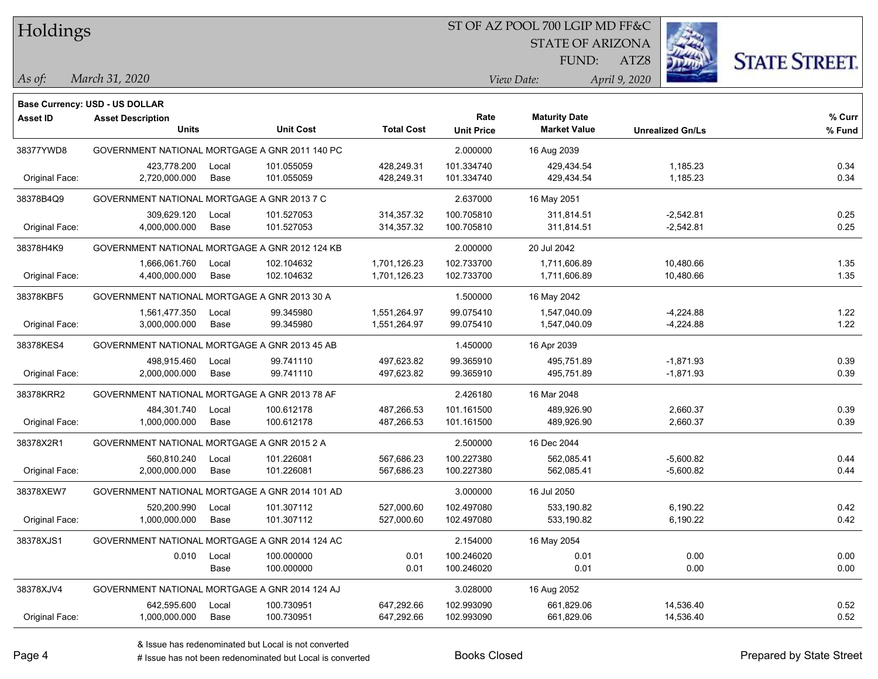#### ST OF AZ POOL 700 LGIP MD FF&C

STATE OF ARIZONA

FUND:



*March 31, 2020 As of: View Date: April 9, 2020*

ATZ8

|                 | <b>Base Currency: USD - US DOLLAR</b>          |       |                  |                   |                   |                      |                         |        |
|-----------------|------------------------------------------------|-------|------------------|-------------------|-------------------|----------------------|-------------------------|--------|
| <b>Asset ID</b> | <b>Asset Description</b>                       |       |                  |                   | Rate              | <b>Maturity Date</b> |                         | % Curr |
|                 | <b>Units</b>                                   |       | <b>Unit Cost</b> | <b>Total Cost</b> | <b>Unit Price</b> | <b>Market Value</b>  | <b>Unrealized Gn/Ls</b> | % Fund |
| 38377YWD8       | GOVERNMENT NATIONAL MORTGAGE A GNR 2011 140 PC |       |                  |                   | 2.000000          | 16 Aug 2039          |                         |        |
|                 | 423,778.200                                    | Local | 101.055059       | 428,249.31        | 101.334740        | 429,434.54           | 1,185.23                | 0.34   |
| Original Face:  | 2,720,000.000                                  | Base  | 101.055059       | 428,249.31        | 101.334740        | 429,434.54           | 1,185.23                | 0.34   |
| 38378B4Q9       | GOVERNMENT NATIONAL MORTGAGE A GNR 2013 7 C    |       |                  | 2.637000          | 16 May 2051       |                      |                         |        |
|                 | 309,629.120                                    | Local | 101.527053       | 314, 357. 32      | 100.705810        | 311,814.51           | $-2,542.81$             | 0.25   |
| Original Face:  | 4,000,000.000                                  | Base  | 101.527053       | 314,357.32        | 100.705810        | 311,814.51           | -2,542.81               | 0.25   |
| 38378H4K9       | GOVERNMENT NATIONAL MORTGAGE A GNR 2012 124 KB |       |                  |                   | 2.000000          | 20 Jul 2042          |                         |        |
|                 | 1,666,061.760                                  | Local | 102.104632       | 1,701,126.23      | 102.733700        | 1,711,606.89         | 10,480.66               | 1.35   |
| Original Face:  | 4,400,000.000                                  | Base  | 102.104632       | 1,701,126.23      | 102.733700        | 1,711,606.89         | 10,480.66               | 1.35   |
| 38378KBF5       | GOVERNMENT NATIONAL MORTGAGE A GNR 2013 30 A   |       |                  |                   | 1.500000          | 16 May 2042          |                         |        |
|                 | 1,561,477.350                                  | Local | 99.345980        | 1,551,264.97      | 99.075410         | 1,547,040.09         | -4,224.88               | 1.22   |
| Original Face:  | 3,000,000.000                                  | Base  | 99.345980        | 1,551,264.97      | 99.075410         | 1,547,040.09         | $-4,224.88$             | 1.22   |
| 38378KES4       | GOVERNMENT NATIONAL MORTGAGE A GNR 2013 45 AB  |       |                  |                   | 1.450000          | 16 Apr 2039          |                         |        |
|                 | 498,915.460                                    | Local | 99.741110        | 497,623.82        | 99.365910         | 495,751.89           | -1,871.93               | 0.39   |
| Original Face:  | 2,000,000.000                                  | Base  | 99.741110        | 497,623.82        | 99.365910         | 495,751.89           | $-1,871.93$             | 0.39   |
| 38378KRR2       | GOVERNMENT NATIONAL MORTGAGE A GNR 2013 78 AF  |       |                  |                   | 2.426180          | 16 Mar 2048          |                         |        |
|                 | 484,301.740                                    | Local | 100.612178       | 487,266.53        | 101.161500        | 489,926.90           | 2,660.37                | 0.39   |
| Original Face:  | 1,000,000.000                                  | Base  | 100.612178       | 487,266.53        | 101.161500        | 489,926.90           | 2,660.37                | 0.39   |
| 38378X2R1       | GOVERNMENT NATIONAL MORTGAGE A GNR 2015 2 A    |       |                  |                   | 2.500000          | 16 Dec 2044          |                         |        |
|                 | 560,810.240                                    | Local | 101.226081       | 567,686.23        | 100.227380        | 562,085.41           | $-5,600.82$             | 0.44   |
| Original Face:  | 2,000,000.000                                  | Base  | 101.226081       | 567,686.23        | 100.227380        | 562,085.41           | $-5,600.82$             | 0.44   |
| 38378XEW7       | GOVERNMENT NATIONAL MORTGAGE A GNR 2014 101 AD |       |                  |                   | 3.000000          | 16 Jul 2050          |                         |        |
|                 | 520,200.990                                    | Local | 101.307112       | 527,000.60        | 102.497080        | 533,190.82           | 6,190.22                | 0.42   |
| Original Face:  | 1,000,000.000                                  | Base  | 101.307112       | 527,000.60        | 102.497080        | 533,190.82           | 6,190.22                | 0.42   |
| 38378XJS1       | GOVERNMENT NATIONAL MORTGAGE A GNR 2014 124 AC |       |                  |                   | 2.154000          | 16 May 2054          |                         |        |
|                 | 0.010                                          | Local | 100.000000       | 0.01              | 100.246020        | 0.01                 | 0.00                    | 0.00   |
|                 |                                                | Base  | 100.000000       | 0.01              | 100.246020        | 0.01                 | 0.00                    | 0.00   |
| 38378XJV4       | GOVERNMENT NATIONAL MORTGAGE A GNR 2014 124 AJ |       |                  |                   | 3.028000          | 16 Aug 2052          |                         |        |
|                 | 642,595.600                                    | Local | 100.730951       | 647,292.66        | 102.993090        | 661,829.06           | 14,536.40               | 0.52   |
| Original Face:  | 1,000,000.000                                  | Base  | 100.730951       | 647,292.66        | 102.993090        | 661,829.06           | 14,536.40               | 0.52   |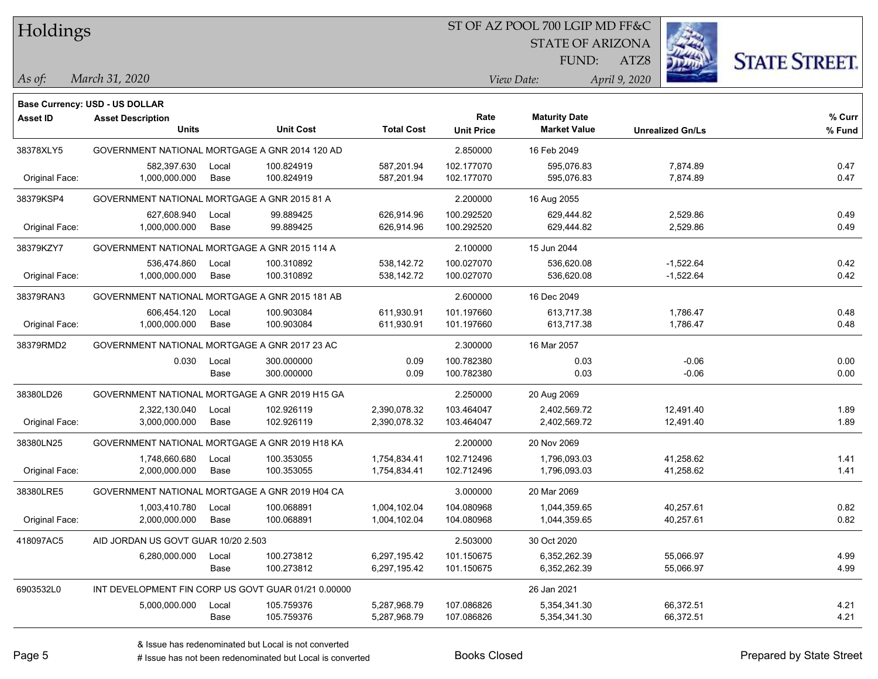### ST OF AZ POOL 700 LGIP MD FF&C

STATE OF ARIZONA

FUND:



*March 31, 2020 As of: View Date: April 9, 2020*

ATZ8

|                 | <b>Base Currency: USD - US DOLLAR</b>               |       |                  |                   |                   |                      |                         |        |
|-----------------|-----------------------------------------------------|-------|------------------|-------------------|-------------------|----------------------|-------------------------|--------|
| <b>Asset ID</b> | <b>Asset Description</b>                            |       |                  |                   | Rate              | <b>Maturity Date</b> |                         | % Curr |
|                 | <b>Units</b>                                        |       | <b>Unit Cost</b> | <b>Total Cost</b> | <b>Unit Price</b> | <b>Market Value</b>  | <b>Unrealized Gn/Ls</b> | % Fund |
| 38378XLY5       | GOVERNMENT NATIONAL MORTGAGE A GNR 2014 120 AD      |       |                  |                   | 2.850000          | 16 Feb 2049          |                         |        |
|                 | 582,397.630                                         | Local | 100.824919       | 587,201.94        | 102.177070        | 595,076.83           | 7,874.89                | 0.47   |
| Original Face:  | 1,000,000.000                                       | Base  | 100.824919       | 587,201.94        | 102.177070        | 595,076.83           | 7,874.89                | 0.47   |
| 38379KSP4       | GOVERNMENT NATIONAL MORTGAGE A GNR 2015 81 A        |       |                  |                   | 2.200000          | 16 Aug 2055          |                         |        |
|                 | 627,608.940                                         | Local | 99.889425        | 626,914.96        | 100.292520        | 629,444.82           | 2,529.86                | 0.49   |
| Original Face:  | 1,000,000.000                                       | Base  | 99.889425        | 626,914.96        | 100.292520        | 629,444.82           | 2,529.86                | 0.49   |
| 38379KZY7       | GOVERNMENT NATIONAL MORTGAGE A GNR 2015 114 A       |       |                  |                   | 2.100000          | 15 Jun 2044          |                         |        |
|                 | 536,474.860                                         | Local | 100.310892       | 538,142.72        | 100.027070        | 536,620.08           | $-1,522.64$             | 0.42   |
| Original Face:  | 1,000,000.000                                       | Base  | 100.310892       | 538,142.72        | 100.027070        | 536,620.08           | $-1,522.64$             | 0.42   |
| 38379RAN3       | GOVERNMENT NATIONAL MORTGAGE A GNR 2015 181 AB      |       |                  |                   | 2.600000          | 16 Dec 2049          |                         |        |
|                 | 606,454.120                                         | Local | 100.903084       | 611,930.91        | 101.197660        | 613,717.38           | 1,786.47                | 0.48   |
| Original Face:  | 1,000,000.000                                       | Base  | 100.903084       | 611,930.91        | 101.197660        | 613,717.38           | 1,786.47                | 0.48   |
| 38379RMD2       | GOVERNMENT NATIONAL MORTGAGE A GNR 2017 23 AC       |       |                  |                   | 2.300000          | 16 Mar 2057          |                         |        |
|                 | 0.030                                               | Local | 300.000000       | 0.09              | 100.782380        | 0.03                 | $-0.06$                 | 0.00   |
|                 |                                                     | Base  | 300.000000       | 0.09              | 100.782380        | 0.03                 | $-0.06$                 | 0.00   |
| 38380LD26       | GOVERNMENT NATIONAL MORTGAGE A GNR 2019 H15 GA      |       |                  |                   | 2.250000          | 20 Aug 2069          |                         |        |
|                 | 2,322,130.040                                       | Local | 102.926119       | 2,390,078.32      | 103.464047        | 2,402,569.72         | 12,491.40               | 1.89   |
| Original Face:  | 3,000,000.000                                       | Base  | 102.926119       | 2,390,078.32      | 103.464047        | 2,402,569.72         | 12,491.40               | 1.89   |
| 38380LN25       | GOVERNMENT NATIONAL MORTGAGE A GNR 2019 H18 KA      |       |                  |                   | 2.200000          | 20 Nov 2069          |                         |        |
|                 | 1,748,660.680                                       | Local | 100.353055       | 1,754,834.41      | 102.712496        | 1,796,093.03         | 41,258.62               | 1.41   |
| Original Face:  | 2,000,000.000                                       | Base  | 100.353055       | 1,754,834.41      | 102.712496        | 1,796,093.03         | 41,258.62               | 1.41   |
| 38380LRE5       | GOVERNMENT NATIONAL MORTGAGE A GNR 2019 H04 CA      |       |                  |                   | 3.000000          | 20 Mar 2069          |                         |        |
|                 | 1,003,410.780                                       | Local | 100.068891       | 1,004,102.04      | 104.080968        | 1,044,359.65         | 40,257.61               | 0.82   |
| Original Face:  | 2,000,000.000                                       | Base  | 100.068891       | 1,004,102.04      | 104.080968        | 1,044,359.65         | 40,257.61               | 0.82   |
| 418097AC5       | AID JORDAN US GOVT GUAR 10/20 2.503                 |       |                  |                   | 2.503000          | 30 Oct 2020          |                         |        |
|                 | 6,280,000.000                                       | Local | 100.273812       | 6,297,195.42      | 101.150675        | 6,352,262.39         | 55,066.97               | 4.99   |
|                 |                                                     | Base  | 100.273812       | 6,297,195.42      | 101.150675        | 6,352,262.39         | 55,066.97               | 4.99   |
| 6903532L0       | INT DEVELOPMENT FIN CORP US GOVT GUAR 01/21 0.00000 |       |                  |                   |                   | 26 Jan 2021          |                         |        |
|                 | 5,000,000.000                                       | Local | 105.759376       | 5,287,968.79      | 107.086826        | 5,354,341.30         | 66,372.51               | 4.21   |
|                 |                                                     | Base  | 105.759376       | 5,287,968.79      | 107.086826        | 5,354,341.30         | 66,372.51               | 4.21   |

÷.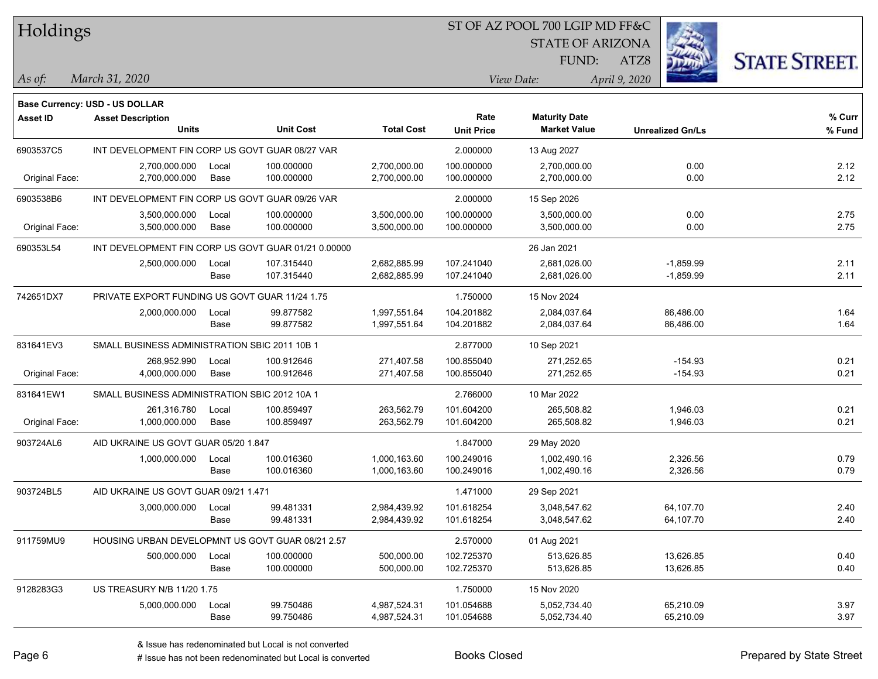### ST OF AZ POOL 700 LGIP MD FF&C

STATE OF ARIZONA

FUND:



*March 31, 2020 As of: View Date: April 9, 2020*

ATZ8

| Base Currency: USD - US DOLLAR |  |
|--------------------------------|--|
|                                |  |

| Asset ID       | <b>Asset Description</b><br><b>Units</b>         |       | <b>Unit Cost</b>                                    | <b>Total Cost</b> | Rate<br><b>Unit Price</b> | <b>Maturity Date</b><br><b>Market Value</b> | <b>Unrealized Gn/Ls</b> | % Curr<br>% Fund |
|----------------|--------------------------------------------------|-------|-----------------------------------------------------|-------------------|---------------------------|---------------------------------------------|-------------------------|------------------|
| 6903537C5      | INT DEVELOPMENT FIN CORP US GOVT GUAR 08/27 VAR  |       |                                                     |                   | 2.000000                  | 13 Aug 2027                                 |                         |                  |
|                | 2,700,000.000                                    | Local | 100.000000                                          | 2,700,000.00      | 100.000000                | 2,700,000.00                                | 0.00                    | 2.12             |
| Original Face: | 2,700,000.000                                    | Base  | 100.000000                                          | 2,700,000.00      | 100.000000                | 2,700,000.00                                | 0.00                    | 2.12             |
| 6903538B6      | INT DEVELOPMENT FIN CORP US GOVT GUAR 09/26 VAR  |       |                                                     |                   | 2.000000                  | 15 Sep 2026                                 |                         |                  |
|                | 3,500,000.000                                    | Local | 100.000000                                          | 3,500,000.00      | 100.000000                | 3,500,000.00                                | 0.00                    | 2.75             |
| Original Face: | 3,500,000.000                                    | Base  | 100.000000                                          | 3,500,000.00      | 100.000000                | 3,500,000.00                                | 0.00                    | 2.75             |
| 690353L54      |                                                  |       | INT DEVELOPMENT FIN CORP US GOVT GUAR 01/21 0.00000 |                   |                           | 26 Jan 2021                                 |                         |                  |
|                | 2,500,000.000                                    | Local | 107.315440                                          | 2,682,885.99      | 107.241040                | 2,681,026.00                                | $-1,859.99$             | 2.11             |
|                |                                                  | Base  | 107.315440                                          | 2,682,885.99      | 107.241040                | 2,681,026.00                                | $-1,859.99$             | 2.11             |
| 742651DX7      | PRIVATE EXPORT FUNDING US GOVT GUAR 11/24 1.75   |       |                                                     |                   | 1.750000                  | 15 Nov 2024                                 |                         |                  |
|                | 2,000,000.000                                    | Local | 99.877582                                           | 1,997,551.64      | 104.201882                | 2,084,037.64                                | 86,486.00               | 1.64             |
|                |                                                  | Base  | 99.877582                                           | 1,997,551.64      | 104.201882                | 2,084,037.64                                | 86,486.00               | 1.64             |
| 831641EV3      | SMALL BUSINESS ADMINISTRATION SBIC 2011 10B 1    |       |                                                     |                   | 2.877000                  | 10 Sep 2021                                 |                         |                  |
|                | 268,952.990                                      | Local | 100.912646                                          | 271,407.58        | 100.855040                | 271,252.65                                  | $-154.93$               | 0.21             |
| Original Face: | 4,000,000.000                                    | Base  | 100.912646                                          | 271,407.58        | 100.855040                | 271,252.65                                  | $-154.93$               | 0.21             |
| 831641EW1      | SMALL BUSINESS ADMINISTRATION SBIC 2012 10A 1    |       |                                                     |                   | 2.766000                  | 10 Mar 2022                                 |                         |                  |
|                | 261,316.780                                      | Local | 100.859497                                          | 263,562.79        | 101.604200                | 265,508.82                                  | 1,946.03                | 0.21             |
| Original Face: | 1,000,000.000                                    | Base  | 100.859497                                          | 263,562.79        | 101.604200                | 265,508.82                                  | 1,946.03                | 0.21             |
| 903724AL6      | AID UKRAINE US GOVT GUAR 05/20 1.847             |       |                                                     |                   | 1.847000                  | 29 May 2020                                 |                         |                  |
|                | 1,000,000.000                                    | Local | 100.016360                                          | 1,000,163.60      | 100.249016                | 1,002,490.16                                | 2,326.56                | 0.79             |
|                |                                                  | Base  | 100.016360                                          | 1,000,163.60      | 100.249016                | 1,002,490.16                                | 2,326.56                | 0.79             |
| 903724BL5      | AID UKRAINE US GOVT GUAR 09/21 1.471             |       |                                                     |                   | 1.471000                  | 29 Sep 2021                                 |                         |                  |
|                | 3,000,000.000                                    | Local | 99.481331                                           | 2,984,439.92      | 101.618254                | 3,048,547.62                                | 64,107.70               | 2.40             |
|                |                                                  | Base  | 99.481331                                           | 2,984,439.92      | 101.618254                | 3,048,547.62                                | 64,107.70               | 2.40             |
| 911759MU9      | HOUSING URBAN DEVELOPMNT US GOVT GUAR 08/21 2.57 |       |                                                     |                   | 2.570000                  | 01 Aug 2021                                 |                         |                  |
|                | 500,000.000                                      | Local | 100.000000                                          | 500,000.00        | 102.725370                | 513,626.85                                  | 13,626.85               | 0.40             |
|                |                                                  | Base  | 100.000000                                          | 500,000.00        | 102.725370                | 513,626.85                                  | 13,626.85               | 0.40             |
| 9128283G3      | <b>US TREASURY N/B 11/20 1.75</b>                |       |                                                     |                   | 1.750000                  | 15 Nov 2020                                 |                         |                  |
|                | 5,000,000.000                                    | Local | 99.750486                                           | 4,987,524.31      | 101.054688                | 5,052,734.40                                | 65,210.09               | 3.97             |
|                |                                                  | Base  | 99.750486                                           | 4,987,524.31      | 101.054688                | 5,052,734.40                                | 65,210.09               | 3.97             |
|                |                                                  |       |                                                     |                   |                           |                                             |                         |                  |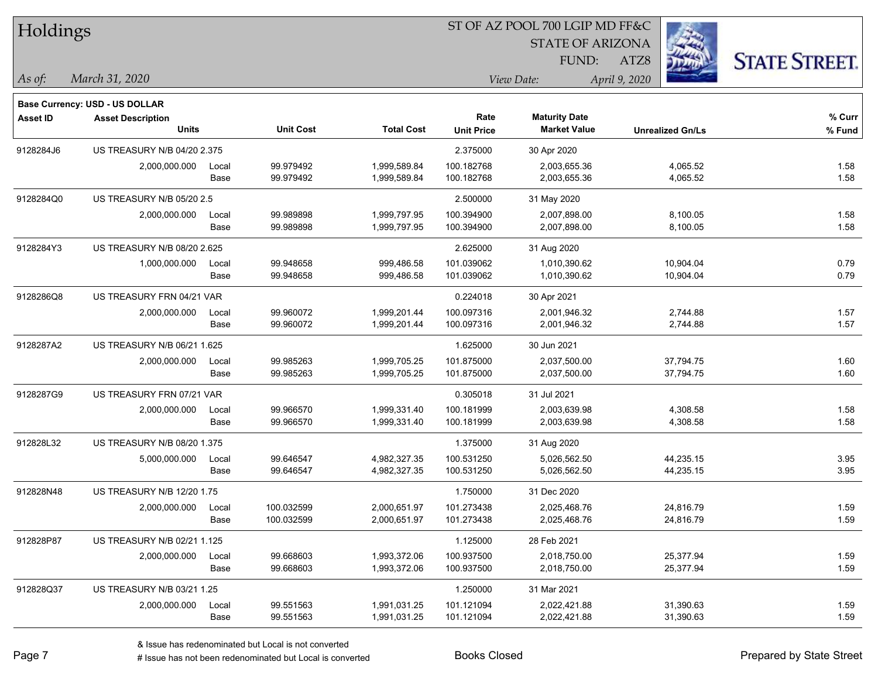| Holdings        |                                          |               |                        |                              | ST OF AZ POOL 700 LGIP MD FF&C |                                             |                         |                      |
|-----------------|------------------------------------------|---------------|------------------------|------------------------------|--------------------------------|---------------------------------------------|-------------------------|----------------------|
|                 |                                          |               |                        |                              |                                | <b>STATE OF ARIZONA</b>                     |                         |                      |
|                 |                                          |               |                        |                              |                                | FUND:                                       | ATZ8                    | <b>STATE STREET.</b> |
| $\vert$ As of:  | March 31, 2020                           |               |                        |                              |                                | View Date:                                  | April 9, 2020           |                      |
|                 |                                          |               |                        |                              |                                |                                             |                         |                      |
|                 | <b>Base Currency: USD - US DOLLAR</b>    |               |                        |                              |                                |                                             |                         |                      |
| <b>Asset ID</b> | <b>Asset Description</b><br><b>Units</b> |               | <b>Unit Cost</b>       | <b>Total Cost</b>            | Rate<br><b>Unit Price</b>      | <b>Maturity Date</b><br><b>Market Value</b> | <b>Unrealized Gn/Ls</b> | % Curr<br>% Fund     |
|                 |                                          |               |                        |                              |                                |                                             |                         |                      |
| 9128284J6       | US TREASURY N/B 04/20 2.375              |               |                        |                              | 2.375000                       | 30 Apr 2020                                 |                         |                      |
|                 | 2,000,000.000                            | Local<br>Base | 99.979492<br>99.979492 | 1,999,589.84<br>1,999,589.84 | 100.182768<br>100.182768       | 2,003,655.36<br>2,003,655.36                | 4,065.52<br>4,065.52    | 1.58<br>1.58         |
|                 |                                          |               |                        |                              |                                |                                             |                         |                      |
| 9128284Q0       | US TREASURY N/B 05/20 2.5                |               |                        |                              | 2.500000<br>100.394900         | 31 May 2020                                 |                         |                      |
|                 | 2,000,000.000                            | Local<br>Base | 99.989898<br>99.989898 | 1,999,797.95<br>1,999,797.95 | 100.394900                     | 2,007,898.00<br>2,007,898.00                | 8,100.05<br>8,100.05    | 1.58<br>1.58         |
| 9128284Y3       | US TREASURY N/B 08/20 2.625              |               |                        |                              | 2.625000                       | 31 Aug 2020                                 |                         |                      |
|                 | 1,000,000.000                            | Local         | 99.948658              | 999,486.58                   | 101.039062                     | 1,010,390.62                                | 10,904.04               | 0.79                 |
|                 |                                          | Base          | 99.948658              | 999,486.58                   | 101.039062                     | 1,010,390.62                                | 10,904.04               | 0.79                 |
| 9128286Q8       | US TREASURY FRN 04/21 VAR                |               |                        |                              | 0.224018                       | 30 Apr 2021                                 |                         |                      |
|                 | 2,000,000.000                            | Local         | 99.960072              | 1,999,201.44                 | 100.097316                     | 2,001,946.32                                | 2,744.88                | 1.57                 |
|                 |                                          | Base          | 99.960072              | 1,999,201.44                 | 100.097316                     | 2,001,946.32                                | 2,744.88                | 1.57                 |
| 9128287A2       | US TREASURY N/B 06/21 1.625              |               |                        |                              | 1.625000                       | 30 Jun 2021                                 |                         |                      |
|                 | 2,000,000.000                            | Local         | 99.985263              | 1,999,705.25                 | 101.875000                     | 2,037,500.00                                | 37,794.75               | 1.60                 |
|                 |                                          | Base          | 99.985263              | 1,999,705.25                 | 101.875000                     | 2,037,500.00                                | 37,794.75               | 1.60                 |
| 9128287G9       | US TREASURY FRN 07/21 VAR                |               |                        |                              | 0.305018                       | 31 Jul 2021                                 |                         |                      |
|                 | 2,000,000.000                            | Local         | 99.966570              | 1,999,331.40                 | 100.181999                     | 2,003,639.98                                | 4,308.58                | 1.58                 |
|                 |                                          | Base          | 99.966570              | 1,999,331.40                 | 100.181999                     | 2,003,639.98                                | 4,308.58                | 1.58                 |
| 912828L32       | US TREASURY N/B 08/20 1.375              |               |                        |                              | 1.375000                       | 31 Aug 2020                                 |                         |                      |
|                 | 5,000,000.000                            | Local         | 99.646547              | 4,982,327.35                 | 100.531250                     | 5,026,562.50                                | 44,235.15               | 3.95                 |
|                 |                                          | Base          | 99.646547              | 4,982,327.35                 | 100.531250                     | 5,026,562.50                                | 44,235.15               | 3.95                 |
| 912828N48       | US TREASURY N/B 12/20 1.75               |               |                        |                              | 1.750000                       | 31 Dec 2020                                 |                         |                      |
|                 | 2,000,000.000                            | Local         | 100.032599             | 2,000,651.97                 | 101.273438                     | 2,025,468.76                                | 24,816.79               | 1.59                 |
|                 |                                          | Base          | 100.032599             | 2,000,651.97                 | 101.273438                     | 2,025,468.76                                | 24,816.79               | 1.59                 |
| 912828P87       | US TREASURY N/B 02/21 1.125              |               |                        |                              | 1.125000                       | 28 Feb 2021                                 |                         |                      |
|                 | 2,000,000.000                            | Local         | 99.668603              | 1,993,372.06                 | 100.937500                     | 2,018,750.00                                | 25,377.94               | 1.59                 |
|                 |                                          | Base          | 99.668603              | 1,993,372.06                 | 100.937500                     | 2,018,750.00                                | 25,377.94               | 1.59                 |
| 912828Q37       | US TREASURY N/B 03/21 1.25               |               |                        |                              | 1.250000                       | 31 Mar 2021                                 |                         |                      |
|                 | 2,000,000.000                            | Local         | 99.551563              | 1,991,031.25                 | 101.121094                     | 2,022,421.88                                | 31,390.63               | 1.59                 |
|                 |                                          | Base          | 99.551563              | 1,991,031.25                 | 101.121094                     | 2,022,421.88                                | 31,390.63               | 1.59                 |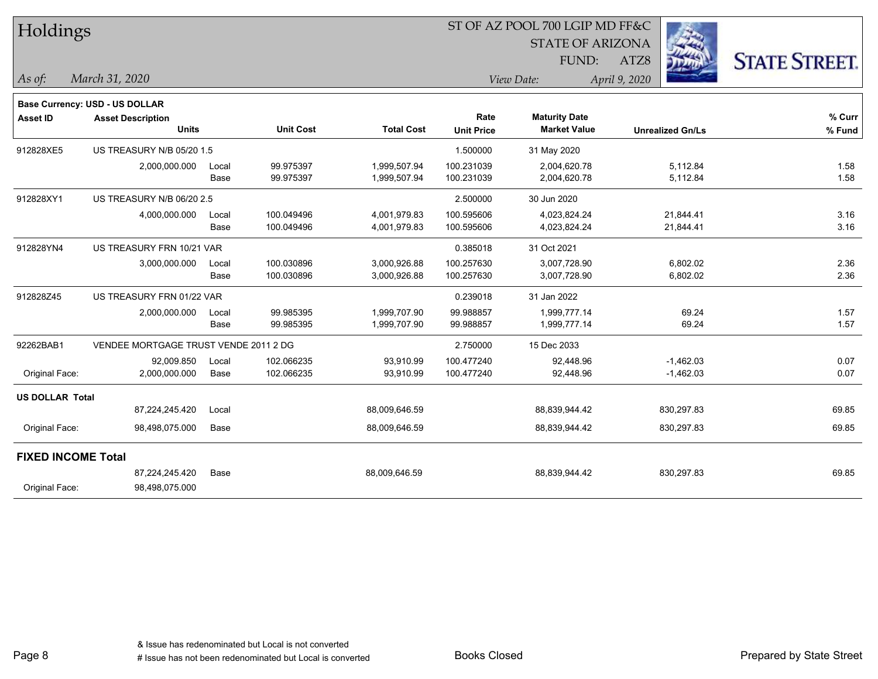| Holdings                  |                                       |       |                  |                   |                   | 51 OF AZ POOL 700 LGIP MD FF&C |                         |                      |  |
|---------------------------|---------------------------------------|-------|------------------|-------------------|-------------------|--------------------------------|-------------------------|----------------------|--|
|                           |                                       |       |                  |                   |                   | <b>STATE OF ARIZONA</b>        |                         |                      |  |
|                           |                                       |       |                  |                   |                   | FUND:                          | ATZ8                    | <b>STATE STREET.</b> |  |
| As of:                    | March 31, 2020                        |       |                  |                   |                   | View Date:                     | April 9, 2020           |                      |  |
|                           | Base Currency: USD - US DOLLAR        |       |                  |                   |                   |                                |                         |                      |  |
| <b>Asset ID</b>           | <b>Asset Description</b>              |       |                  |                   | Rate              | <b>Maturity Date</b>           |                         | % Curr               |  |
|                           | <b>Units</b>                          |       | <b>Unit Cost</b> | <b>Total Cost</b> | <b>Unit Price</b> | <b>Market Value</b>            | <b>Unrealized Gn/Ls</b> | % Fund               |  |
| 912828XE5                 | US TREASURY N/B 05/20 1.5             |       |                  |                   | 1.500000          | 31 May 2020                    |                         |                      |  |
|                           | 2,000,000.000                         | Local | 99.975397        | 1,999,507.94      | 100.231039        | 2,004,620.78                   | 5,112.84                | 1.58                 |  |
|                           |                                       | Base  | 99.975397        | 1,999,507.94      | 100.231039        | 2,004,620.78                   | 5,112.84                | 1.58                 |  |
| 912828XY1                 | US TREASURY N/B 06/20 2.5             |       |                  |                   | 2.500000          | 30 Jun 2020                    |                         |                      |  |
|                           | 4,000,000.000                         | Local | 100.049496       | 4,001,979.83      | 100.595606        | 4,023,824.24                   | 21,844.41               | 3.16                 |  |
|                           |                                       | Base  | 100.049496       | 4,001,979.83      | 100.595606        | 4,023,824.24                   | 21,844.41               | 3.16                 |  |
| 912828YN4                 | US TREASURY FRN 10/21 VAR             |       |                  |                   | 0.385018          | 31 Oct 2021                    |                         |                      |  |
|                           | 3,000,000.000                         | Local | 100.030896       | 3,000,926.88      | 100.257630        | 3,007,728.90                   | 6,802.02                | 2.36                 |  |
|                           |                                       | Base  | 100.030896       | 3,000,926.88      | 100.257630        | 3,007,728.90                   | 6,802.02                | 2.36                 |  |
| 912828Z45                 | US TREASURY FRN 01/22 VAR             |       |                  |                   | 0.239018          | 31 Jan 2022                    |                         |                      |  |
|                           | 2,000,000.000                         | Local | 99.985395        | 1,999,707.90      | 99.988857         | 1,999,777.14                   | 69.24                   | 1.57                 |  |
|                           |                                       | Base  | 99.985395        | 1,999,707.90      | 99.988857         | 1,999,777.14                   | 69.24                   | 1.57                 |  |
| 92262BAB1                 | VENDEE MORTGAGE TRUST VENDE 2011 2 DG |       |                  |                   | 2.750000          | 15 Dec 2033                    |                         |                      |  |
|                           | 92,009.850                            | Local | 102.066235       | 93,910.99         | 100.477240        | 92,448.96                      | $-1,462.03$             | 0.07                 |  |
| Original Face:            | 2,000,000.000                         | Base  | 102.066235       | 93,910.99         | 100.477240        | 92,448.96                      | $-1,462.03$             | 0.07                 |  |
| <b>US DOLLAR Total</b>    |                                       |       |                  |                   |                   |                                |                         |                      |  |
|                           | 87,224,245.420                        | Local |                  | 88,009,646.59     |                   | 88,839,944.42                  | 830,297.83              | 69.85                |  |
| Original Face:            | 98,498,075.000                        | Base  |                  | 88,009,646.59     |                   | 88,839,944.42                  | 830,297.83              | 69.85                |  |
| <b>FIXED INCOME Total</b> |                                       |       |                  |                   |                   |                                |                         |                      |  |
|                           | 87,224,245.420                        | Base  |                  | 88,009,646.59     |                   | 88,839,944.42                  | 830,297.83              | 69.85                |  |
| Original Face:            | 98,498,075.000                        |       |                  |                   |                   |                                |                         |                      |  |

 $\overline{\text{S}}$  of  $\overline{\text{S}}$  and  $\overline{\text{S}}$  and  $\overline{\text{S}}$   $\overline{\text{S}}$  and  $\overline{\text{S}}$   $\overline{\text{S}}$  and  $\overline{\text{S}}$  and  $\overline{\text{S}}$  and  $\overline{\text{S}}$  and  $\overline{\text{S}}$  and  $\overline{\text{S}}$  and  $\overline{\text{S}}$  and  $\overline{\text{S}}$  and  $\overline{\text{S}}$  and  $\overline{\$ 

٦

 $\overline{\phantom{a}}$ 

 $\overline{\phantom{a}}$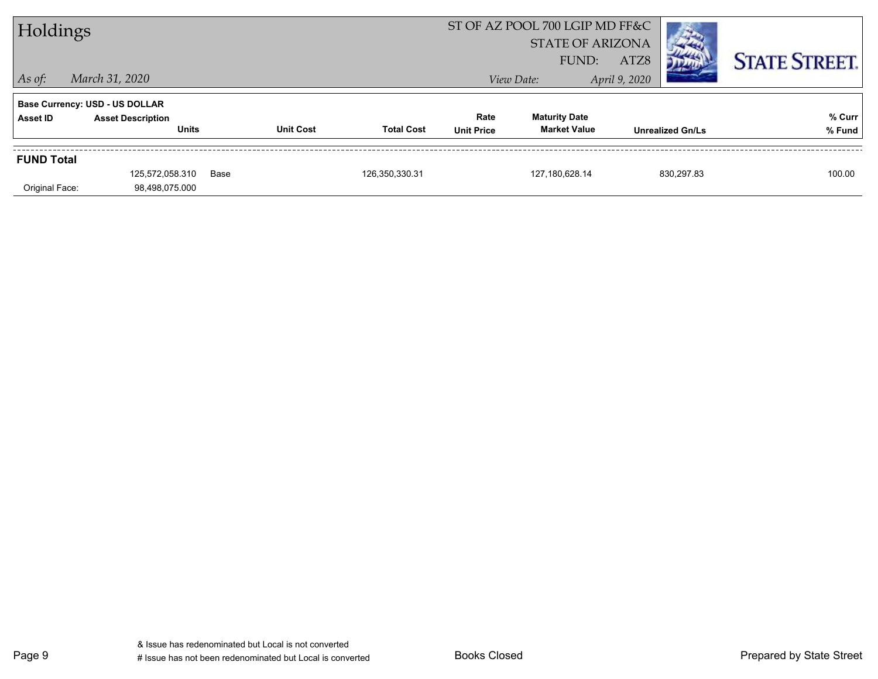| Holdings          |                                          |      |                  |                   | ST OF AZ POOL 700 LGIP MD FF&C<br><b>STATE OF ARIZONA</b><br>ATZ8<br>FUND: |                                             |               |                         | <b>STATE STREET.</b> |
|-------------------|------------------------------------------|------|------------------|-------------------|----------------------------------------------------------------------------|---------------------------------------------|---------------|-------------------------|----------------------|
| $\vert$ As of:    | March 31, 2020                           |      |                  |                   |                                                                            | View Date:                                  | April 9, 2020 |                         |                      |
|                   | <b>Base Currency: USD - US DOLLAR</b>    |      |                  |                   |                                                                            |                                             |               |                         |                      |
| Asset ID          | <b>Asset Description</b><br><b>Units</b> |      | <b>Unit Cost</b> | <b>Total Cost</b> | Rate<br><b>Unit Price</b>                                                  | <b>Maturity Date</b><br><b>Market Value</b> |               | <b>Unrealized Gn/Ls</b> | % Curr<br>% Fund     |
| <b>FUND Total</b> |                                          |      |                  |                   |                                                                            |                                             |               |                         |                      |
| Original Face:    | 125.572.058.310<br>98,498,075.000        | Base |                  | 126,350,330.31    |                                                                            | 127,180,628.14                              |               | 830.297.83              | 100.00               |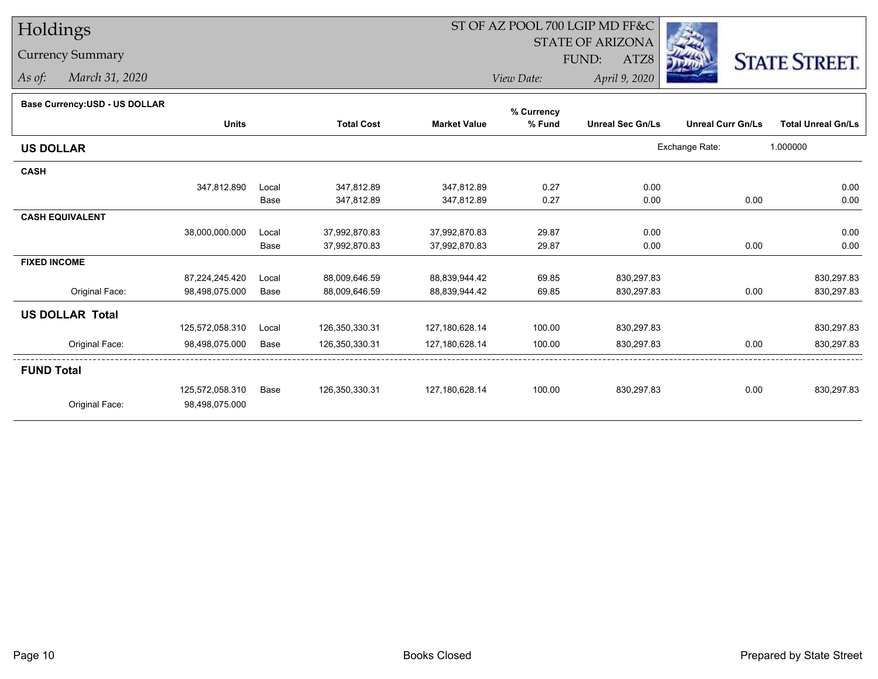Currency Summary

*As of: March 31, 2020*

## ST OF AZ POOL 700 LGIP MD FF&C

STATE OF ARIZONA

ATZ8



*View Date: April 9, 2020* FUND:

#### **Base Currency:USD - US DOLLAR**

|                        |                 |       |                   |                     | % Currency |                         |                          |                           |
|------------------------|-----------------|-------|-------------------|---------------------|------------|-------------------------|--------------------------|---------------------------|
|                        | <b>Units</b>    |       | <b>Total Cost</b> | <b>Market Value</b> | % Fund     | <b>Unreal Sec Gn/Ls</b> | <b>Unreal Curr Gn/Ls</b> | <b>Total Unreal Gn/Ls</b> |
| <b>US DOLLAR</b>       |                 |       |                   |                     |            |                         | Exchange Rate:           | 1.000000                  |
| <b>CASH</b>            |                 |       |                   |                     |            |                         |                          |                           |
|                        | 347,812.890     | Local | 347,812.89        | 347,812.89          | 0.27       | 0.00                    |                          | 0.00                      |
|                        |                 | Base  | 347,812.89        | 347,812.89          | 0.27       | 0.00                    | 0.00                     | 0.00                      |
| <b>CASH EQUIVALENT</b> |                 |       |                   |                     |            |                         |                          |                           |
|                        | 38,000,000.000  | Local | 37,992,870.83     | 37,992,870.83       | 29.87      | 0.00                    |                          | 0.00                      |
|                        |                 | Base  | 37,992,870.83     | 37,992,870.83       | 29.87      | 0.00                    | 0.00                     | 0.00                      |
| <b>FIXED INCOME</b>    |                 |       |                   |                     |            |                         |                          |                           |
|                        | 87,224,245.420  | Local | 88,009,646.59     | 88,839,944.42       | 69.85      | 830,297.83              |                          | 830,297.83                |
| Original Face:         | 98,498,075.000  | Base  | 88,009,646.59     | 88,839,944.42       | 69.85      | 830,297.83              | 0.00                     | 830,297.83                |
| <b>US DOLLAR Total</b> |                 |       |                   |                     |            |                         |                          |                           |
|                        | 125,572,058.310 | Local | 126,350,330.31    | 127,180,628.14      | 100.00     | 830,297.83              |                          | 830,297.83                |
| Original Face:         | 98,498,075.000  | Base  | 126,350,330.31    | 127,180,628.14      | 100.00     | 830,297.83              | 0.00                     | 830,297.83                |
| <b>FUND Total</b>      |                 |       |                   |                     |            |                         |                          |                           |
|                        | 125,572,058.310 | Base  | 126,350,330.31    | 127,180,628.14      | 100.00     | 830,297.83              | 0.00                     | 830,297.83                |
| Original Face:         | 98,498,075.000  |       |                   |                     |            |                         |                          |                           |
|                        |                 |       |                   |                     |            |                         |                          |                           |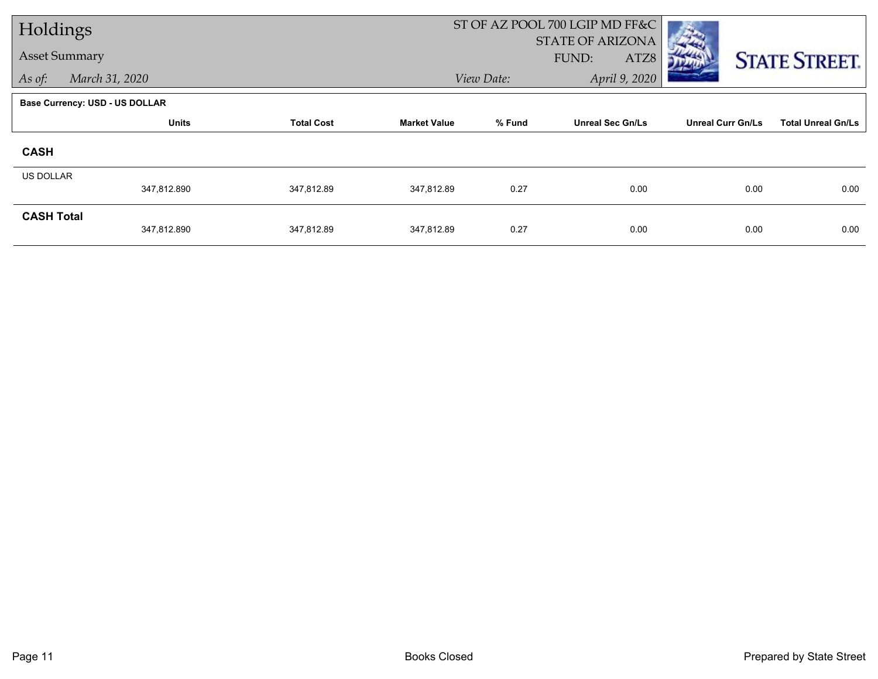| Holdings                 |                                       |                   |                     | ST OF AZ POOL 700 LGIP MD FF&C |                                          |                          |                           |
|--------------------------|---------------------------------------|-------------------|---------------------|--------------------------------|------------------------------------------|--------------------------|---------------------------|
| <b>Asset Summary</b>     |                                       |                   |                     |                                | <b>STATE OF ARIZONA</b><br>FUND:<br>ATZ8 |                          | <b>STATE STREET.</b>      |
| March 31, 2020<br>As of: |                                       |                   |                     | View Date:                     | April 9, 2020                            |                          |                           |
|                          | <b>Base Currency: USD - US DOLLAR</b> |                   |                     |                                |                                          |                          |                           |
|                          | <b>Units</b>                          | <b>Total Cost</b> | <b>Market Value</b> | % Fund                         | <b>Unreal Sec Gn/Ls</b>                  | <b>Unreal Curr Gn/Ls</b> | <b>Total Unreal Gn/Ls</b> |
| <b>CASH</b>              |                                       |                   |                     |                                |                                          |                          |                           |
| <b>US DOLLAR</b>         |                                       |                   |                     |                                |                                          |                          |                           |
|                          | 347,812.890                           | 347,812.89        | 347,812.89          | 0.27                           | 0.00                                     | 0.00                     | 0.00                      |
| <b>CASH Total</b>        | 347,812.890                           | 347,812.89        | 347,812.89          | 0.27                           | 0.00                                     | 0.00                     | 0.00                      |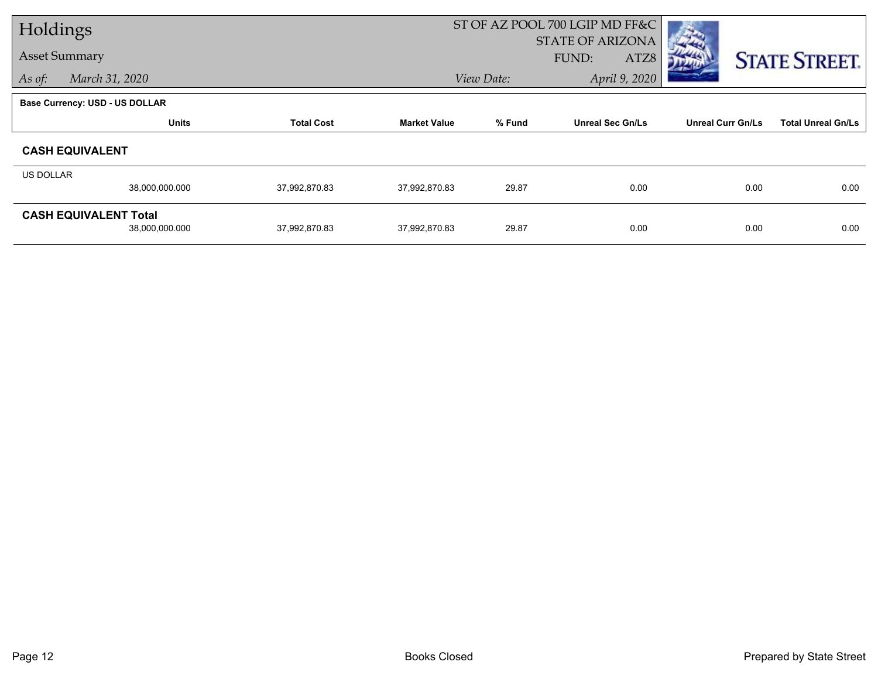| Holdings             |                                |                   |                     |                             | ST OF AZ POOL 700 LGIP MD FF&C           |                          |                           |
|----------------------|--------------------------------|-------------------|---------------------|-----------------------------|------------------------------------------|--------------------------|---------------------------|
| <b>Asset Summary</b> |                                |                   |                     |                             | <b>STATE OF ARIZONA</b><br>FUND:<br>ATZ8 |                          |                           |
|                      |                                |                   |                     |                             |                                          |                          | <b>STATE STREET.</b>      |
| As of:               | March 31, 2020                 |                   |                     | April 9, 2020<br>View Date: |                                          |                          |                           |
|                      | Base Currency: USD - US DOLLAR |                   |                     |                             |                                          |                          |                           |
|                      | <b>Units</b>                   | <b>Total Cost</b> | <b>Market Value</b> | % Fund                      | <b>Unreal Sec Gn/Ls</b>                  | <b>Unreal Curr Gn/Ls</b> | <b>Total Unreal Gn/Ls</b> |
|                      | <b>CASH EQUIVALENT</b>         |                   |                     |                             |                                          |                          |                           |
| US DOLLAR            |                                |                   |                     |                             |                                          |                          |                           |
|                      | 38,000,000.000                 | 37,992,870.83     | 37,992,870.83       | 29.87                       | 0.00                                     | 0.00                     | 0.00                      |
|                      | <b>CASH EQUIVALENT Total</b>   |                   |                     |                             |                                          |                          |                           |
|                      | 38,000,000.000                 | 37,992,870.83     | 37,992,870.83       | 29.87                       | 0.00                                     | 0.00                     | 0.00                      |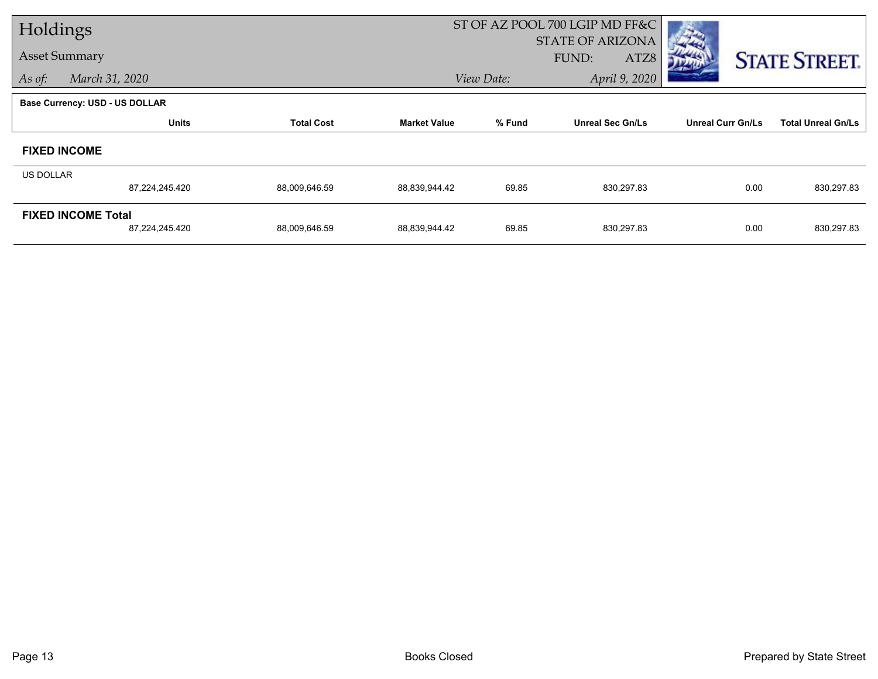| Holdings             |                                |                   |                     | ST OF AZ POOL 700 LGIP MD FF&C |                         |                          |                           |
|----------------------|--------------------------------|-------------------|---------------------|--------------------------------|-------------------------|--------------------------|---------------------------|
| <b>Asset Summary</b> |                                |                   |                     |                                | <b>STATE OF ARIZONA</b> |                          |                           |
|                      |                                |                   |                     |                                | <b>FUND:</b><br>ATZ8    |                          | <b>STATE STREET.</b>      |
| As of:               | March 31, 2020                 |                   |                     | April 9, 2020<br>View Date:    |                         |                          |                           |
|                      | Base Currency: USD - US DOLLAR |                   |                     |                                |                         |                          |                           |
|                      | <b>Units</b>                   | <b>Total Cost</b> | <b>Market Value</b> | % Fund                         | <b>Unreal Sec Gn/Ls</b> | <b>Unreal Curr Gn/Ls</b> | <b>Total Unreal Gn/Ls</b> |
|                      | <b>FIXED INCOME</b>            |                   |                     |                                |                         |                          |                           |
| US DOLLAR            |                                |                   |                     |                                |                         |                          |                           |
|                      | 87,224,245.420                 | 88,009,646.59     | 88,839,944.42       | 69.85                          | 830,297.83              | 0.00                     | 830,297.83                |
|                      | <b>FIXED INCOME Total</b>      |                   |                     |                                |                         |                          |                           |
|                      | 87,224,245.420                 | 88,009,646.59     | 88,839,944.42       | 69.85                          | 830,297.83              | 0.00                     | 830,297.83                |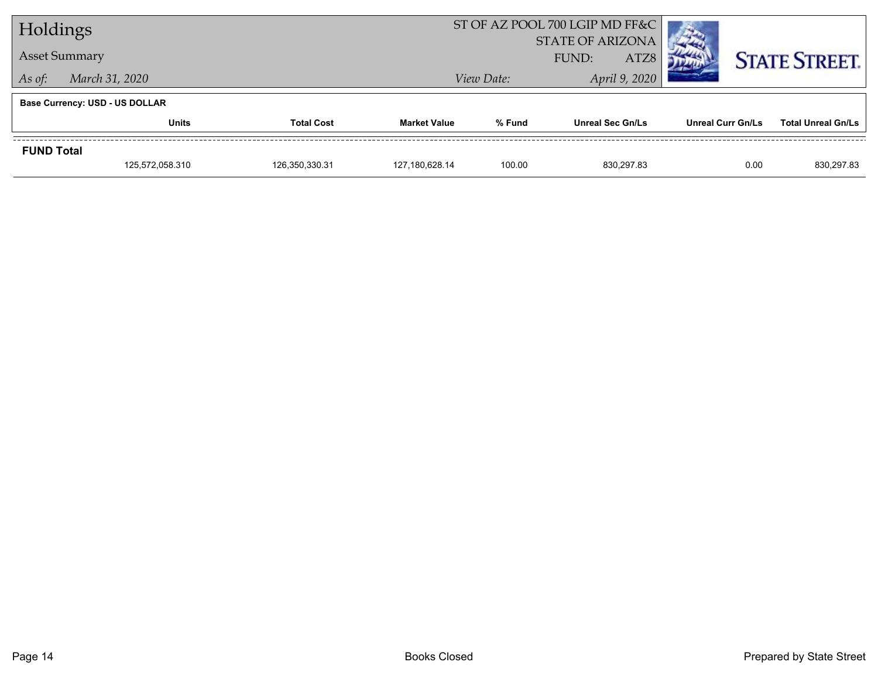| Holdings                 |                                       |                |                     | ST OF AZ POOL 700 LGIP MD FF&C |                         |                      |                           |
|--------------------------|---------------------------------------|----------------|---------------------|--------------------------------|-------------------------|----------------------|---------------------------|
|                          |                                       |                |                     | <b>STATE OF ARIZONA</b>        |                         |                      |                           |
| <b>Asset Summary</b>     |                                       |                | ATZ8<br>FUND:       |                                |                         | <b>STATE STREET.</b> |                           |
| March 31, 2020<br>As of: |                                       |                |                     | View Date:                     | April 9, 2020           |                      |                           |
|                          | <b>Base Currency: USD - US DOLLAR</b> |                |                     |                                |                         |                      |                           |
|                          | <b>Units</b><br><b>Total Cost</b>     |                | <b>Market Value</b> | % Fund                         | <b>Unreal Sec Gn/Ls</b> | Unreal Curr Gn/Ls    | <b>Total Unreal Gn/Ls</b> |
| <b>FUND Total</b>        |                                       |                |                     |                                |                         |                      |                           |
|                          | 125,572,058.310                       | 126,350,330.31 | 127,180,628.14      | 100.00                         | 830.297.83              | 0.00                 | 830,297.83                |